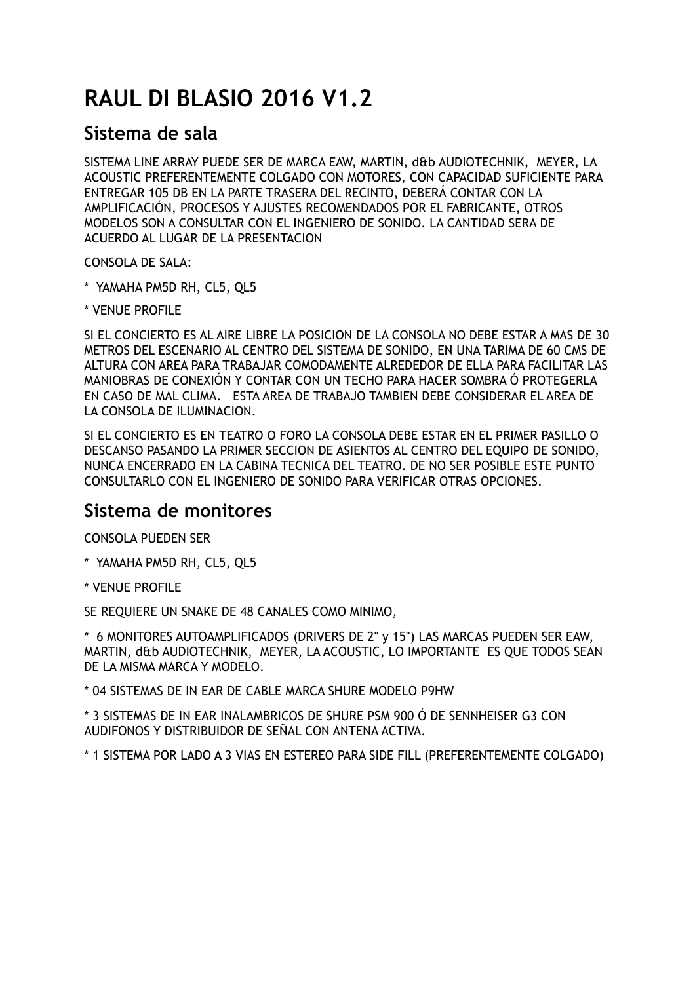### **RAUL DI BLASIO 2016 V1.2**

#### **Sistema de sala**

SISTEMA LINE ARRAY PUEDE SER DE MARCA EAW, MARTIN, d&b AUDIOTECHNIK, MEYER, LA ACOUSTIC PREFERENTEMENTE COLGADO CON MOTORES, CON CAPACIDAD SUFICIENTE PARA ENTREGAR 105 DB EN LA PARTE TRASERA DEL RECINTO, DEBERÁ CONTAR CON LA AMPLIFICACIÓN, PROCESOS Y AJUSTES RECOMENDADOS POR EL FABRICANTE, OTROS MODELOS SON A CONSULTAR CON EL INGENIERO DE SONIDO. LA CANTIDAD SERA DE ACUERDO AL LUGAR DE LA PRESENTACION

CONSOLA DE SALA:

- \* YAMAHA PM5D RH, CL5, QL5
- \* VENUE PROFILE

SI EL CONCIERTO ES AL AIRE LIBRE LA POSICION DE LA CONSOLA NO DEBE ESTAR A MAS DE 30 METROS DEL ESCENARIO AL CENTRO DEL SISTEMA DE SONIDO, EN UNA TARIMA DE 60 CMS DE ALTURA CON AREA PARA TRABAJAR COMODAMENTE ALREDEDOR DE ELLA PARA FACILITAR LAS MANIOBRAS DE CONEXIÓN Y CONTAR CON UN TECHO PARA HACER SOMBRA Ó PROTEGERLA EN CASO DE MAL CLIMA. ESTA AREA DE TRABAJO TAMBIEN DEBE CONSIDERAR EL AREA DE LA CONSOLA DE ILUMINACION.

SI EL CONCIERTO ES EN TEATRO O FORO LA CONSOLA DEBE ESTAR EN EL PRIMER PASILLO O DESCANSO PASANDO LA PRIMER SECCION DE ASIENTOS AL CENTRO DEL EQUIPO DE SONIDO, NUNCA ENCERRADO EN LA CABINA TECNICA DEL TEATRO. DE NO SER POSIBLE ESTE PUNTO CONSULTARLO CON EL INGENIERO DE SONIDO PARA VERIFICAR OTRAS OPCIONES.

#### **Sistema de monitores**

CONSOLA PUEDEN SER

- \* YAMAHA PM5D RH, CL5, QL5
- \* VENUE PROFILE

SE REQUIERE UN SNAKE DE 48 CANALES COMO MINIMO,

\* 6 MONITORES AUTOAMPLIFICADOS (DRIVERS DE 2" y 15") LAS MARCAS PUEDEN SER EAW, MARTIN, d&b AUDIOTECHNIK, MEYER, LA ACOUSTIC, LO IMPORTANTE ES QUE TODOS SEAN DE LA MISMA MARCA Y MODELO.

\* 04 SISTEMAS DE IN EAR DE CABLE MARCA SHURE MODELO P9HW

\* 3 SISTEMAS DE IN EAR INALAMBRICOS DE SHURE PSM 900 Ó DE SENNHEISER G3 CON AUDIFONOS Y DISTRIBUIDOR DE SEÑAL CON ANTENA ACTIVA.

\* 1 SISTEMA POR LADO A 3 VIAS EN ESTEREO PARA SIDE FILL (PREFERENTEMENTE COLGADO)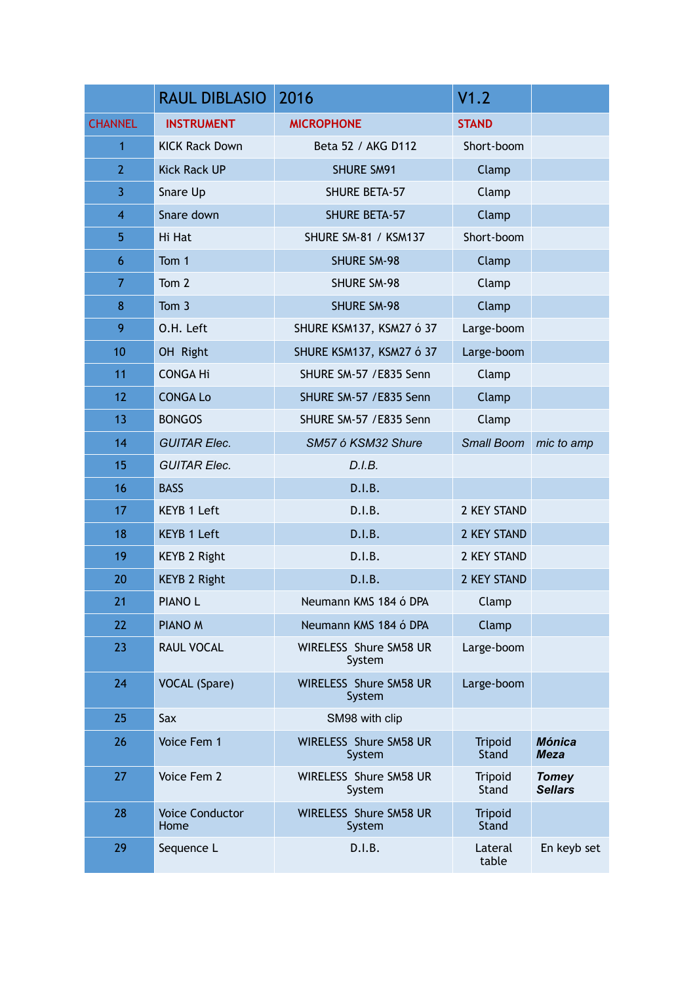|                | <b>RAUL DIBLASIO</b>           | 2016                             | V1.2                           |                                |
|----------------|--------------------------------|----------------------------------|--------------------------------|--------------------------------|
| <b>CHANNEL</b> | <b>INSTRUMENT</b>              | <b>MICROPHONE</b>                | <b>STAND</b>                   |                                |
| 1              | <b>KICK Rack Down</b>          | Beta 52 / AKG D112               | Short-boom                     |                                |
| $\overline{2}$ | <b>Kick Rack UP</b>            | <b>SHURE SM91</b>                | Clamp                          |                                |
| 3              | Snare Up                       | <b>SHURE BETA-57</b>             | Clamp                          |                                |
| $\overline{4}$ | Snare down                     | <b>SHURE BETA-57</b>             | Clamp                          |                                |
| 5              | Hi Hat                         | <b>SHURE SM-81 / KSM137</b>      | Short-boom                     |                                |
| 6              | Tom 1                          | <b>SHURE SM-98</b>               | Clamp                          |                                |
| $\overline{7}$ | Tom 2                          | <b>SHURE SM-98</b>               | Clamp                          |                                |
| 8              | Tom 3                          | <b>SHURE SM-98</b>               | Clamp                          |                                |
| 9              | O.H. Left                      | SHURE KSM137, KSM27 ó 37         | Large-boom                     |                                |
| 10             | OH Right                       | SHURE KSM137, KSM27 ó 37         | Large-boom                     |                                |
| 11             | <b>CONGA Hi</b>                | SHURE SM-57 / E835 Senn          | Clamp                          |                                |
| 12             | <b>CONGA Lo</b>                | SHURE SM-57 / E835 Senn          | Clamp                          |                                |
| 13             | <b>BONGOS</b>                  | SHURE SM-57 / E835 Senn          | Clamp                          |                                |
| 14             | <b>GUITAR Elec.</b>            | SM57 ó KSM32 Shure               | <b>Small Boom</b>              | mic to amp                     |
| 15             | <b>GUITAR Elec.</b>            | D.I.B.                           |                                |                                |
| 16             | <b>BASS</b>                    | D.I.B.                           |                                |                                |
| 17             | <b>KEYB 1 Left</b>             | D.I.B.                           | 2 KEY STAND                    |                                |
| 18             | <b>KEYB 1 Left</b>             | D.I.B.                           | 2 KEY STAND                    |                                |
| 19             | <b>KEYB 2 Right</b>            | D.I.B.                           | 2 KEY STAND                    |                                |
| 20             | <b>KEYB 2 Right</b>            | D.I.B.                           | 2 KEY STAND                    |                                |
| 21             | <b>PIANOL</b>                  | Neumann KMS 184 ó DPA            | Clamp                          |                                |
| 22             | PIANO <sub>M</sub>             | Neumann KMS 184 ó DPA            | Clamp                          |                                |
| 23             | <b>RAUL VOCAL</b>              | WIRELESS Shure SM58 UR<br>System | Large-boom                     |                                |
| 24             | <b>VOCAL</b> (Spare)           | WIRELESS Shure SM58 UR<br>System | Large-boom                     |                                |
| 25             | Sax                            | SM98 with clip                   |                                |                                |
| 26             | Voice Fem 1                    | WIRELESS Shure SM58 UR<br>System | <b>Tripoid</b><br><b>Stand</b> | <b>Mónica</b><br><b>Meza</b>   |
| 27             | Voice Fem 2                    | WIRELESS Shure SM58 UR<br>System | Tripoid<br>Stand               | <b>Tomey</b><br><b>Sellars</b> |
| 28             | <b>Voice Conductor</b><br>Home | WIRELESS Shure SM58 UR<br>System | <b>Tripoid</b><br>Stand        |                                |
| 29             | Sequence L                     | D.I.B.                           | Lateral<br>table               | En keyb set                    |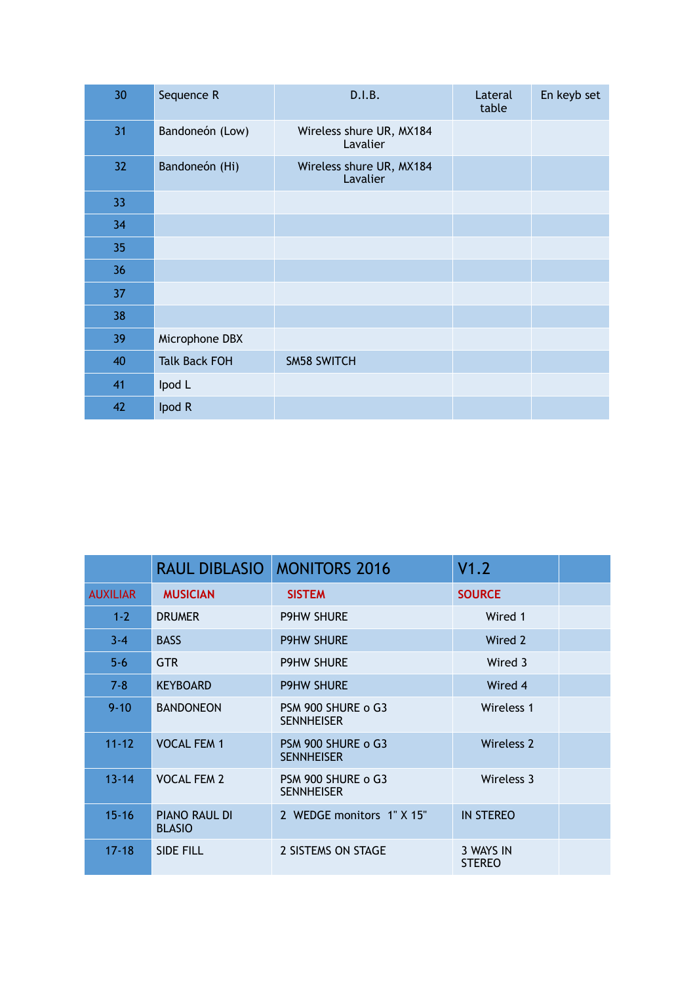| 30 | Sequence R           | D.I.B.                               | Lateral<br>table | En keyb set |
|----|----------------------|--------------------------------------|------------------|-------------|
| 31 | Bandoneón (Low)      | Wireless shure UR, MX184<br>Lavalier |                  |             |
| 32 | Bandoneón (Hi)       | Wireless shure UR, MX184<br>Lavalier |                  |             |
| 33 |                      |                                      |                  |             |
| 34 |                      |                                      |                  |             |
| 35 |                      |                                      |                  |             |
| 36 |                      |                                      |                  |             |
| 37 |                      |                                      |                  |             |
| 38 |                      |                                      |                  |             |
| 39 | Microphone DBX       |                                      |                  |             |
| 40 | <b>Talk Back FOH</b> | <b>SM58 SWITCH</b>                   |                  |             |
| 41 | Ipod L               |                                      |                  |             |
| 42 | Ipod R               |                                      |                  |             |

|                 | <b>RAUL DIBLASIO</b>                  | <b>MONITORS 2016</b>                    | V1.2                       |  |
|-----------------|---------------------------------------|-----------------------------------------|----------------------------|--|
| <b>AUXILIAR</b> | <b>MUSICIAN</b>                       | <b>SISTEM</b>                           | <b>SOURCE</b>              |  |
| $1 - 2$         | <b>DRUMER</b>                         | <b>P9HW SHURE</b>                       | Wired 1                    |  |
| $3 - 4$         | <b>BASS</b>                           | <b>P9HW SHURE</b>                       | Wired 2                    |  |
| $5 - 6$         | <b>GTR</b>                            | <b>P9HW SHURE</b>                       | Wired 3                    |  |
| $7 - 8$         | <b>KEYBOARD</b>                       | <b>P9HW SHURE</b>                       | Wired 4                    |  |
| $9 - 10$        | <b>BANDONEON</b>                      | PSM 900 SHURE o G3<br><b>SENNHEISER</b> | Wireless 1                 |  |
| $11 - 12$       | <b>VOCAL FEM 1</b>                    | PSM 900 SHURE o G3<br><b>SENNHEISER</b> | Wireless 2                 |  |
| $13 - 14$       | <b>VOCAL FEM 2</b>                    | PSM 900 SHURE o G3<br><b>SENNHEISER</b> | Wireless 3                 |  |
| $15 - 16$       | <b>PIANO RAUL DI</b><br><b>BLASIO</b> | 2 WEDGE monitors 1" X 15"               | <b>IN STEREO</b>           |  |
| $17 - 18$       | <b>SIDE FILL</b>                      | 2 SISTEMS ON STAGE                      | 3 WAYS IN<br><b>STEREO</b> |  |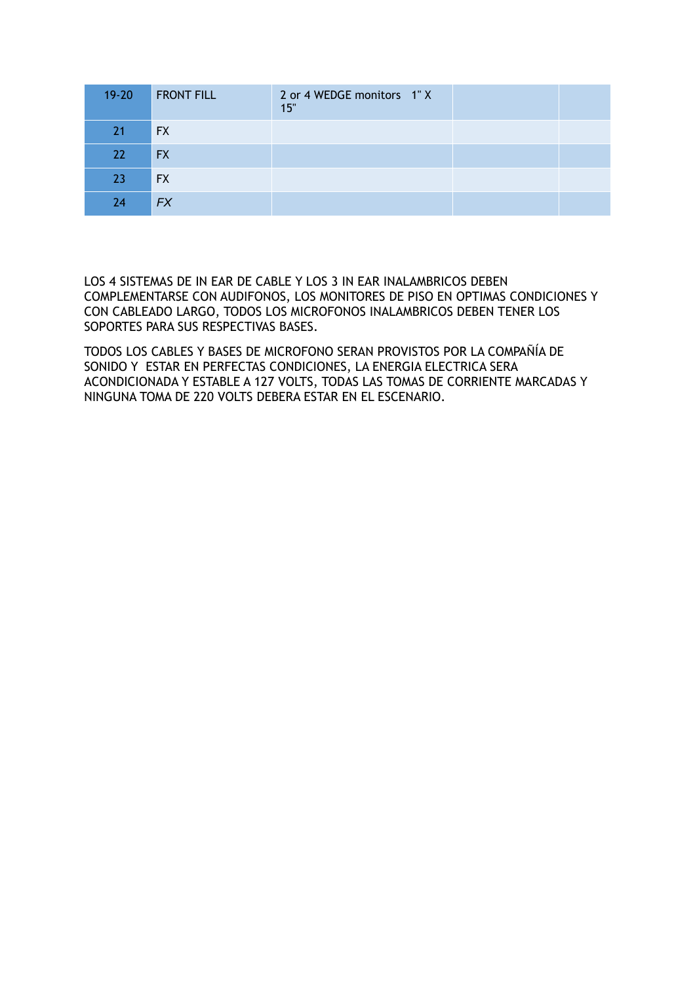| $19 - 20$ | <b>FRONT FILL</b> | 2 or 4 WEDGE monitors 1"X<br>15" |  |
|-----------|-------------------|----------------------------------|--|
| 21        | <b>FX</b>         |                                  |  |
| 22        | <b>FX</b>         |                                  |  |
| 23        | <b>FX</b>         |                                  |  |
| 24        | <b>FX</b>         |                                  |  |

LOS 4 SISTEMAS DE IN EAR DE CABLE Y LOS 3 IN EAR INALAMBRICOS DEBEN COMPLEMENTARSE CON AUDIFONOS, LOS MONITORES DE PISO EN OPTIMAS CONDICIONES Y CON CABLEADO LARGO, TODOS LOS MICROFONOS INALAMBRICOS DEBEN TENER LOS SOPORTES PARA SUS RESPECTIVAS BASES.

TODOS LOS CABLES Y BASES DE MICROFONO SERAN PROVISTOS POR LA COMPAÑÍA DE SONIDO Y ESTAR EN PERFECTAS CONDICIONES, LA ENERGIA ELECTRICA SERA ACONDICIONADA Y ESTABLE A 127 VOLTS, TODAS LAS TOMAS DE CORRIENTE MARCADAS Y NINGUNA TOMA DE 220 VOLTS DEBERA ESTAR EN EL ESCENARIO.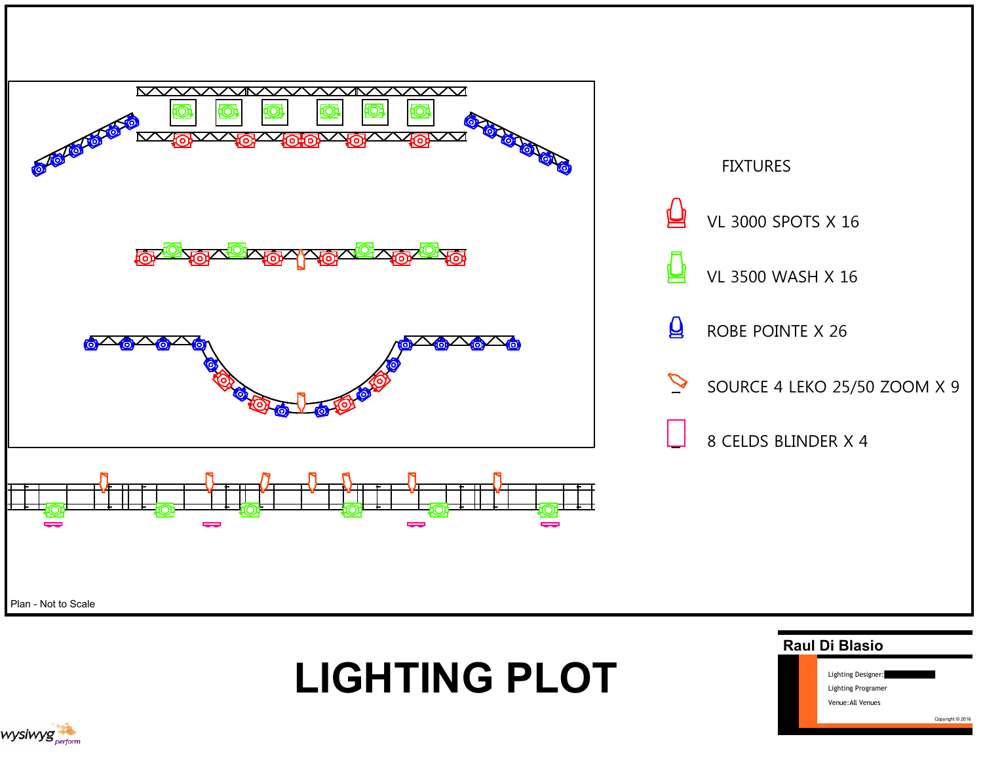



## LIGHTING PLOT



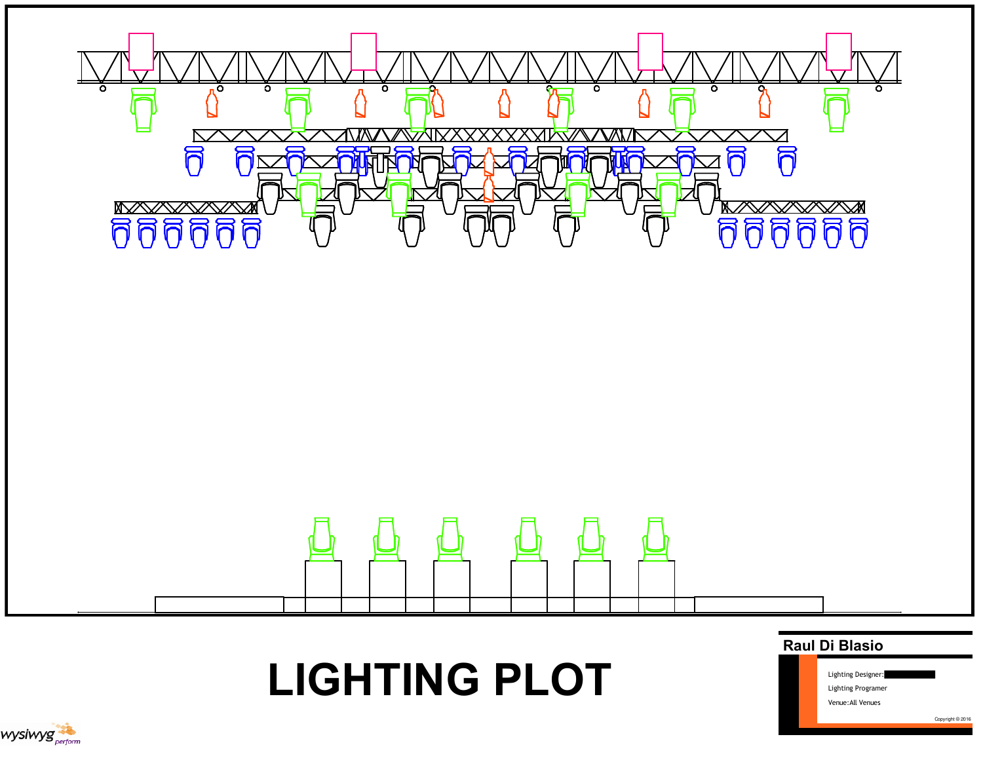

LIGHTING PLOT



Venue:All Venues

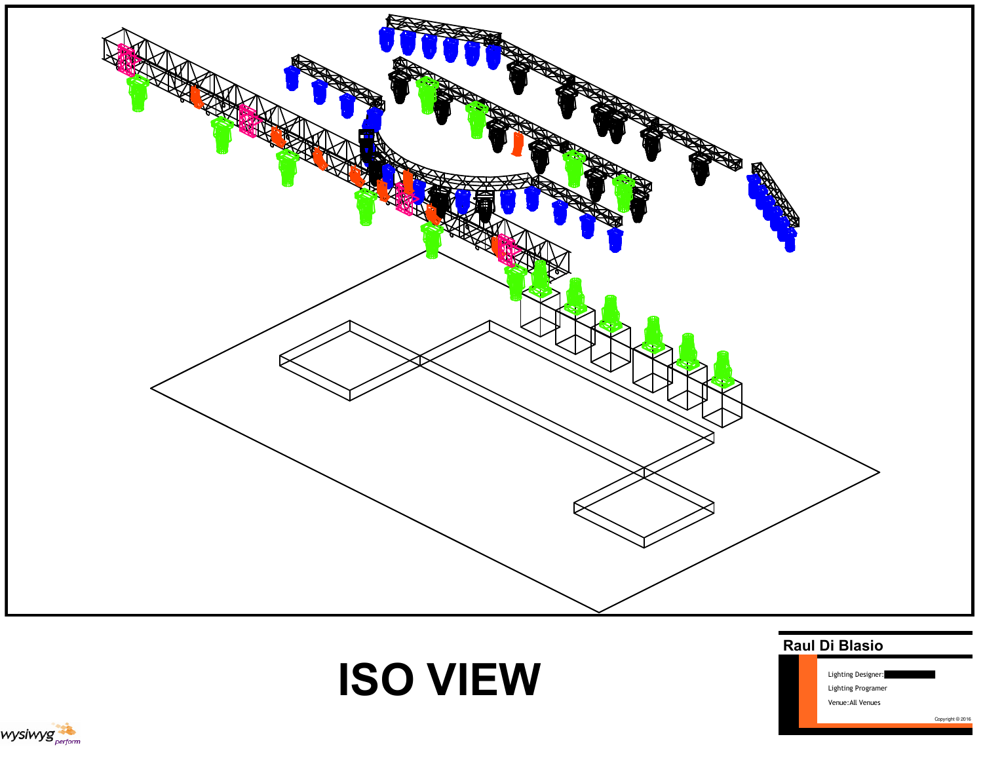

# ISO VIEW



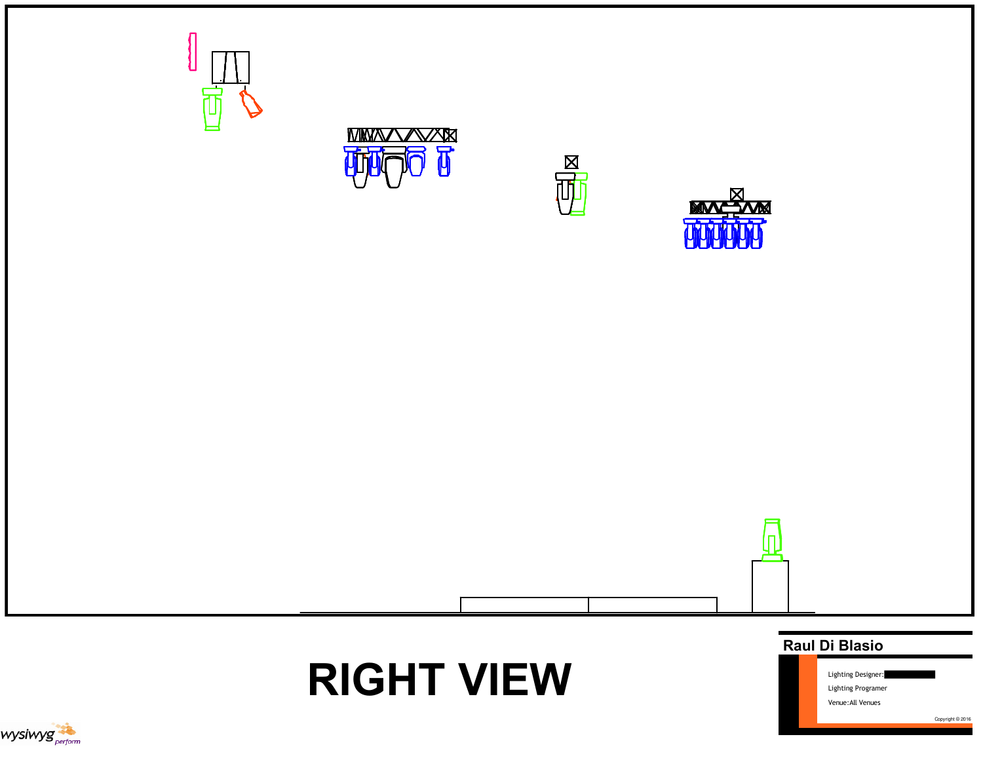









RIGHT VIEW



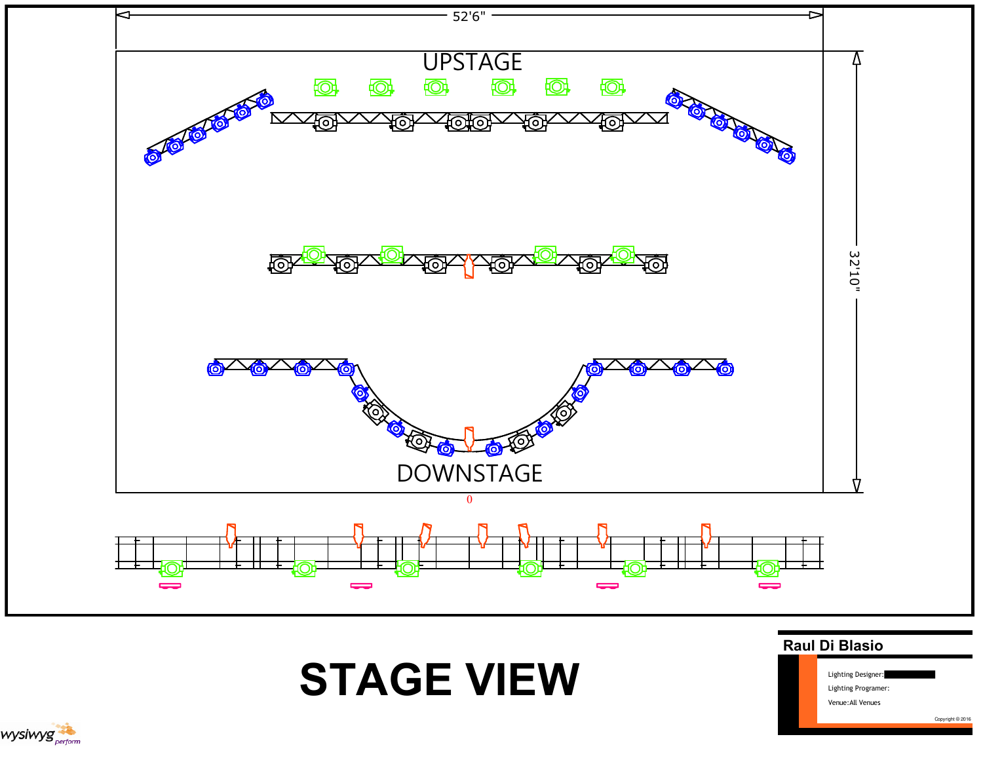



## STAGE VIEW